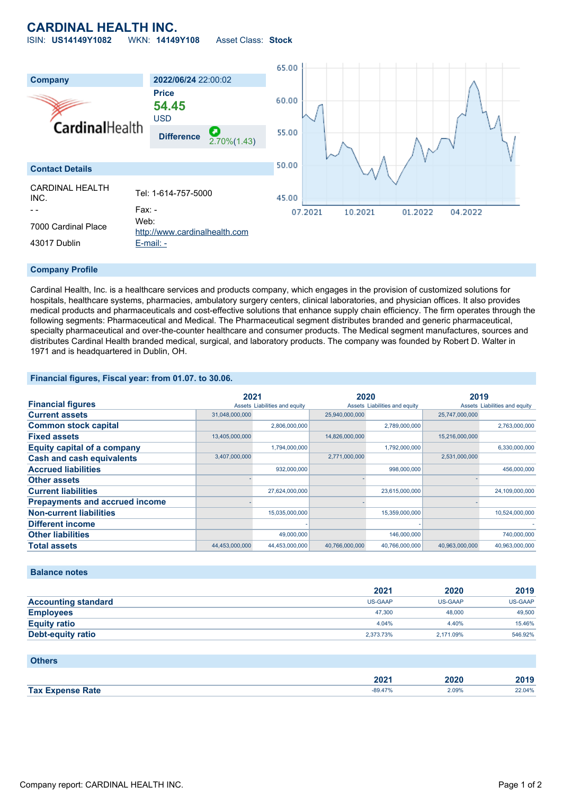# **CARDINAL HEALTH INC.**

ISIN: **US14149Y1082** WKN: **14149Y108** Asset Class: **Stock**



#### **Company Profile**

Cardinal Health, Inc. is a healthcare services and products company, which engages in the provision of customized solutions for hospitals, healthcare systems, pharmacies, ambulatory surgery centers, clinical laboratories, and physician offices. It also provides medical products and pharmaceuticals and cost-effective solutions that enhance supply chain efficiency. The firm operates through the following segments: Pharmaceutical and Medical. The Pharmaceutical segment distributes branded and generic pharmaceutical, specialty pharmaceutical and over-the-counter healthcare and consumer products. The Medical segment manufactures, sources and distributes Cardinal Health branded medical, surgical, and laboratory products. The company was founded by Robert D. Walter in 1971 and is headquartered in Dublin, OH.

#### **Financial figures, Fiscal year: from 01.07. to 30.06.**

|                                       | 2021           |                               | 2020           |                               | 2019           |                               |
|---------------------------------------|----------------|-------------------------------|----------------|-------------------------------|----------------|-------------------------------|
| <b>Financial figures</b>              |                | Assets Liabilities and equity |                | Assets Liabilities and equity |                | Assets Liabilities and equity |
| <b>Current assets</b>                 | 31,048,000,000 |                               | 25,940,000,000 |                               | 25,747,000,000 |                               |
| <b>Common stock capital</b>           |                | 2,806,000,000                 |                | 2,789,000,000                 |                | 2,763,000,000                 |
| <b>Fixed assets</b>                   | 13,405,000,000 |                               | 14,826,000,000 |                               | 15,216,000,000 |                               |
| <b>Equity capital of a company</b>    |                | 1,794,000,000                 |                | 1,792,000,000                 |                | 6,330,000,000                 |
| <b>Cash and cash equivalents</b>      | 3,407,000,000  |                               | 2,771,000,000  |                               | 2,531,000,000  |                               |
| <b>Accrued liabilities</b>            |                | 932,000,000                   |                | 998,000,000                   |                | 456,000,000                   |
| <b>Other assets</b>                   |                |                               |                |                               |                |                               |
| <b>Current liabilities</b>            |                | 27,624,000,000                |                | 23,615,000,000                |                | 24,109,000,000                |
| <b>Prepayments and accrued income</b> |                |                               |                |                               |                |                               |
| <b>Non-current liabilities</b>        |                | 15,035,000,000                |                | 15,359,000,000                |                | 10,524,000,000                |
| <b>Different income</b>               |                |                               |                |                               |                |                               |
| <b>Other liabilities</b>              |                | 49,000,000                    |                | 146,000,000                   |                | 740,000,000                   |
| <b>Total assets</b>                   | 44,453,000,000 | 44,453,000,000                | 40,766,000,000 | 40,766,000,000                | 40,963,000,000 | 40,963,000,000                |

#### **Balance notes**

|                            | 2021           | 2020      | 2019    |
|----------------------------|----------------|-----------|---------|
| <b>Accounting standard</b> | <b>US-GAAP</b> | US-GAAP   | US-GAAP |
| <b>Employees</b>           | 47.300         | 48,000    | 49,500  |
| <b>Equity ratio</b>        | 4.04%          | 4.40%     | 15.46%  |
| Debt-equity ratio          | 2,373.73%      | 2.171.09% | 546.92% |

### **Others**

|            | החה<br>40 Z<br>$   -$ | 20    | $-1$<br>--- |
|------------|-----------------------|-------|-------------|
| <b>Tax</b> | 80 47                 | 2.09% | 2.04%       |
| ate?       |                       | .     |             |